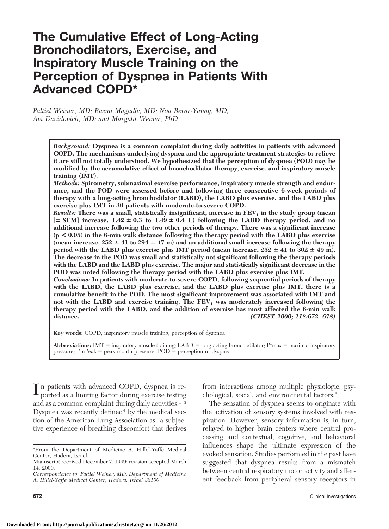# **The Cumulative Effect of Long-Acting Bronchodilators, Exercise, and Inspiratory Muscle Training on the Perception of Dyspnea in Patients With Advanced COPD\***

*Paltiel Weiner, MD; Rasmi Magadle, MD; Noa Berar-Yanay, MD; Avi Davidovich, MD; and Margalit Weiner, PhD*

> *Background:* **Dyspnea is a common complaint during daily activities in patients with advanced COPD. The mechanisms underlying dyspnea and the appropriate treatment strategies to relieve it are still not totally understood. We hypothesized that the perception of dyspnea (POD) may be modified by the accumulative effect of bronchodilator therapy, exercise, and inspiratory muscle training (IMT).**

> *Methods:* **Spirometry, submaximal exercise performance, inspiratory muscle strength and endurance, and the POD were assessed before and following three consecutive 6-week periods of therapy with a long-acting bronchodilator (LABD), the LABD plus exercise, and the LABD plus exercise plus IMT in 30 patients with moderate-to-severe COPD.**

> *Results:* There was a small, statistically insignificant, increase in  $FEV<sub>1</sub>$  in the study group (mean  $[ \pm \text{ SEM}]$  increase,  $1.42 \pm 0.3$  to  $1.49 \pm 0.4$  L) following the LABD therapy period, and no **additional increase following the two other periods of therapy. There was a significant increase (p < 0.05) in the 6-min walk distance following the therapy period with the LABD plus exercise** (mean increase,  $252 \pm 41$  to  $294 \pm 47$  m) and an additional small increase following the therapy **period with the LABD plus exercise plus IMT period (mean increase,**  $252 \pm 41$  **to**  $302 \pm 49$  **m). The decrease in the POD was small and statistically not significant following the therapy periods with the LABD and the LABD plus exercise. The major and statistically significant decrease in the POD was noted following the therapy period with the LABD plus exercise plus IMT.**

> *Conclusions:* **In patients with moderate-to-severe COPD, following sequential periods of therapy with the LABD, the LABD plus exercise, and the LABD plus exercise plus IMT, there is a cumulative benefit in the POD. The most significant improvement was associated with IMT and** not with the LABD and exercise training. The  $FEV<sub>1</sub>$  was moderately increased following the **therapy period with the LABD, and the addition of exercise has most affected the 6-min walk distance.** *(CHEST 2000; 118:672–678)*

**Key words:** COPD; inspiratory muscle training; perception of dyspnea

**Abbreviations:** IMT = inspiratory muscle training; LABD = long-acting bronchodilator; PImax = maximal inspiratory pressure;  $PmPeak = peak$  mouth pressure;  $POD = perception$  of dyspnea

In patients with advanced COPD, dyspnea is reported as a limiting factor during exercise testing and as a common complaint during daily activities.<sup>1-3</sup> Dyspnea was recently defined $4$  by the medical section of the American Lung Association as "a subjective experience of breathing discomfort that derives

from interactions among multiple physiologic, psychological, social, and environmental factors."

The sensation of dyspnea seems to originate with the activation of sensory systems involved with respiration. However, sensory information is, in turn, relayed to higher brain centers where central processing and contextual, cognitive, and behavioral influences shape the ultimate expression of the evoked sensation. Studies performed in the past have suggested that dyspnea results from a mismatch between central respiratory motor activity and afferent feedback from peripheral sensory receptors in

<sup>\*</sup>From the Department of Medicine A, Hillel-Yaffe Medical Center, Hadera, Israel.

Manuscript received December 7, 1999; revision accepted March 14, 2000.

*Correspondence to: Paltiel Weiner, MD, Department of Medicine A, Hillel-Yaffe Medical Center, Hadera, Israel 38100*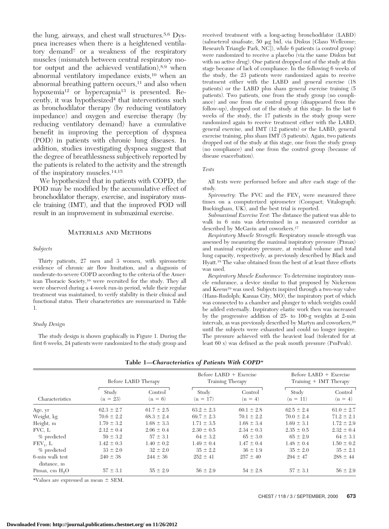the lung, airways, and chest wall structures.5,6 Dyspnea increases when there is a heightened ventilatory demand7 or a weakness of the respiratory muscles (mismatch between central respiratory motor output and the achieved ventilation),8,9 when abnormal ventilatory impedance exists,10 when an abnormal breathing pattern occurs,<sup>11</sup> and also when hypoxemia<sup>12</sup> or hypercapnia<sup>13</sup> is presented. Recently, it was hypothesized $4$  that interventions such as bronchodilator therapy (by reducing ventilatory impedance) and oxygen and exercise therapy (by reducing ventilatory demand) have a cumulative benefit in improving the perception of dyspnea (POD) in patients with chronic lung diseases. In addition, studies investigating dyspnea suggest that the degree of breathlessness subjectively reported by the patients is related to the activity and the strength of the inspiratory muscles.14,15

We hypothesized that in patients with COPD, the POD may be modified by the accumulative effect of bronchodilator therapy, exercise, and inspiratory muscle training (IMT), and that the improved POD will result in an improvement in submaximal exercise.

## Materials and Methods

#### *Subjects*

Thirty patients, 27 men and 3 women, with spirometric evidence of chronic air flow limitation, and a diagnosis of moderate-to-severe COPD according to the criteria of the American Thoracic Society,16 were recruited for the study. They all were observed during a 4-week run-in period, while their regular treatment was maintained, to verify stability in their clinical and functional status. Their characteristics are summarized in Table 1.

### *Study Design*

The study design is shown graphically in Figure 1. During the first 6 weeks, 24 patients were randomized to the study group and

received treatment with a long-acting bronchodilator (LABD) (salmeterol xinafoate, 50 mg bid, via Diskus [Glaxo Wellcome; Research Triangle Park, NC]), while 6 patients (a control group) were randomized to receive a placebo (via the same Diskus but with no active drug). One patient dropped out of the study at this stage because of lack of compliance. In the following 6 weeks of the study, the 23 patients were randomized again to receive treatment either with the LABD and general exercise (18 patients) or the LABD plus sham general exercise training (5 patients). Two patients, one from the study group (no compliance) and one from the control group (disappeared from the follow-up), dropped out of the study at this stage. In the last 6 weeks of the study, the 17 patients in the study group were randomized again to receive treatment either with the LABD, general exercise, and IMT (12 patients) or the LABD, general exercise training, plus sham IMT (5 patients). Again, two patients dropped out of the study at this stage, one from the study group (no compliance) and one from the control group (because of disease exacerbation).

#### *Tests*

All tests were performed before and after each stage of the study.

*Spirometry:* The FVC and the  $FEV<sub>1</sub>$  were measured three times on a computerized spirometer (Compact; Vitalograph; Buckingham, UK), and the best trial is reported.

*Submaximal Exercise Test:* The distance the patient was able to walk in 6 min was determined in a measured corridor as described by McGavin and coworkers.17

*Respiratory Muscle Strength:* Respiratory muscle strength was assessed by measuring the maximal inspiratory pressure (Pimax) and maximal expiratory pressure, at residual volume and total lung capacity, respectively, as previously described by Black and Hyatt.18 The value obtained from the best of at least three efforts was used.

*Respiratory Muscle Endurance:* To determine inspiratory muscle endurance, a device similar to that proposed by Nickerson and Keens19 was used. Subjects inspired through a two-way valve (Hans-Rudolph; Kansas City, MO), the inspiratory port of which was connected to a chamber and plunger to which weights could be added externally. Inspiratory elastic work then was increased by the progressive addition of 25- to 100-g weights at 2-min intervals, as was previously described by Martyn and coworkers,20 until the subjects were exhausted and could no longer inspire. The pressure achieved with the heaviest load (tolerated for at least 60 s) was defined as the peak mouth pressure (PmPeak).

| Characteristics                | Before LABD Therapy |                      | Before LABD $+$ Exercise<br>Training Therapy |                      | Before $LABD + Exercise$<br>Training + IMT Therapy |                      |
|--------------------------------|---------------------|----------------------|----------------------------------------------|----------------------|----------------------------------------------------|----------------------|
|                                | Study<br>$(n = 23)$ | Control<br>$(n = 6)$ | Study<br>$(n = 17)$                          | Control<br>$(n = 4)$ | Study<br>$(n = 11)$                                | Control<br>$(n = 4)$ |
| Age, yr                        | $62.3 \pm 2.7$      | $61.7 \pm 2.5$       | $63.2 \pm 2.3$                               | $60.1 \pm 2.8$       | $62.5 \pm 2.4$                                     | $61.0 \pm 2.7$       |
| Weight, kg                     | $70.6 \pm 2.2$      | $68.3 \pm 2.4$       | $69.7 \pm 2.3$                               | $70.1 \pm 2.2$       | $70.0 \pm 2.4$                                     | $71.2 \pm 2.1$       |
| Height, m                      | $1.70 \pm 3.2$      | $1.68 \pm 3.3$       | $1.71 \pm 3.5$                               | $1.68 \pm 3.4$       | $1.69 \pm 3.1$                                     | $1.72 \pm 2.9$       |
| FVC, L                         | $2.12 \pm 0.4$      | $2.06 \pm 0.4$       | $2.30 \pm 0.5$                               | $2.34 \pm 0.3$       | $2.35 \pm 0.5$                                     | $2.32 \pm 0.4$       |
| % predicted                    | $59 \pm 3.2$        | $57 \pm 3.1$         | $64 \pm 3.2$                                 | $65 \pm 3.0$         | $65 \pm 2.9$                                       | $64 \pm 3.1$         |
| $FEV1$ , L                     | $1.42 \pm 0.3$      | $1.40 \pm 0.2$       | $1.49 \pm 0.4$                               | $1.47 \pm 0.4$       | $1.48 \pm 0.4$                                     | $1.50 \pm 0.2$       |
| % predicted                    | $33 \pm 2.0$        | $32 \pm 2.0$         | $35 \pm 2.2$                                 | $36 \pm 1.9$         | $35 \pm 2.0$                                       | $35 \pm 2.1$         |
| 6-min walk test<br>distance, m | $240 \pm 38$        | $244 \pm 36$         | $252 \pm 41$                                 | $257 \pm 40$         | $294 \pm 47$                                       | $288 \pm 44$         |
| PImax, cm $H_0O$               | $57 \pm 3.1$        | $55 \pm 2.9$         | $56 \pm 2.9$                                 | $54 \pm 2.8$         | $57 \pm 3.1$                                       | $56 \pm 2.9$         |

**Table 1—***Characteristics of Patients With COPD*\*

\*Values are expressed as mean  $\pm$  SEM.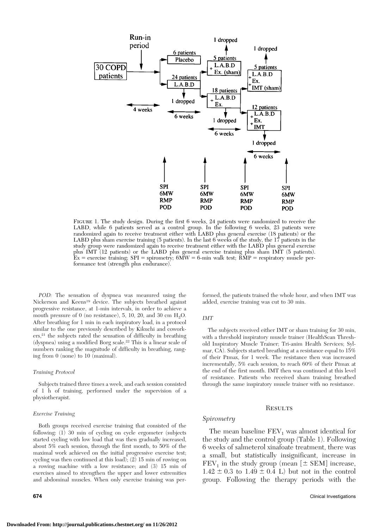

FIGURE 1. The study design. During the first 6 weeks, 24 patients were randomized to receive the LABD, while 6 patients served as a control group. In the following 6 weeks, 23 patients were randomized again to receive treatment either with LABD plus general exercise (18 patients) or the LABD plus sham exercise training (5 patients). In the last 6 weeks of the study, the 17 patients in the study group were randomized again to receive treatment either with the LABD plus general exercise plus IMT (12 patients) or the LABD plus general exercise training plus sham IMT (5 patients).  $\mathbf{\hat{E}}\mathbf{x} = \text{exercise training; SPI} = \text{spirometry}; 6\mathbf{M}\mathbf{W} = 6\text{-min walk test}; \mathbf{\tilde{R}\hat{M}P} = \text{respiratory muscle per}$ formance test (strength plus endurance).

*POD:* The sensation of dyspnea was measured using the Nickerson and Keens19 device. The subjects breathed against progressive resistance, at 1-min intervals, in order to achieve a mouth pressure of 0 (no resistance), 5, 10, 20, and 30 cm  $H_2O$ . After breathing for 1 min in each inspiratory load, in a protocol similar to the one previously described by Kikuchi and coworkers,21 the subjects rated the sensation of difficulty in breathing (dyspnea) using a modified Borg scale.22 This is a linear scale of numbers ranking the magnitude of difficulty in breathing, ranging from 0 (none) to 10 (maximal).

#### *Training Protocol*

Subjects trained three times a week, and each session consisted of 1 h of training, performed under the supervision of a physiotherapist.

#### *Exercise Training*

Both groups received exercise training that consisted of the following: (1) 30 min of cycling on cycle ergometer (subjects started cycling with low load that was then gradually increased, about 5% each session, through the first month, to 50% of the maximal work achieved on the initial progressive exercise test; cycling was then continued at this load); (2) 15 min of rowing on a rowing machine with a low resistance; and (3) 15 min of exercises aimed to strengthen the upper and lower extremities and abdominal muscles. When only exercise training was per-

formed, the patients trained the whole hour, and when IMT was added, exercise training was cut to 30 min.

#### *IMT*

The subjects received either IMT or sham training for 30 min, with a threshold inspiratory muscle trainer (HealthScan Threshold Inspiratory Muscle Trainer; Tri-anim Health Services; Sylmar, CA). Subjects started breathing at a resistance equal to 15% of their Pimax, for 1 week. The resistance then was increased incrementally, 5% each session, to reach 60% of their Pimax at the end of the first month. IMT then was continued at this level of resistance. Patients who received sham training breathed through the same inspiratory muscle trainer with no resistance.

## **RESULTS**

#### *Spirometry*

The mean baseline  $FEV_1$  was almost identical for the study and the control group (Table 1). Following 6 weeks of salmeterol xinafoate treatment, there was a small, but statistically insignificant, increase in  $FEV<sub>1</sub>$  in the study group (mean [ $\pm$  SEM] increase,  $1.42 \pm 0.3$  to  $1.49 \pm 0.4$  L) but not in the control group. Following the therapy periods with the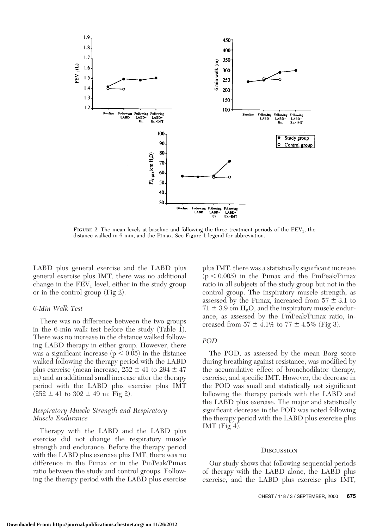

FIGURE 2. The mean levels at baseline and following the three treatment periods of the  $FEV<sub>1</sub>$ , the distance walked in 6 min, and the Pimax. See Figure 1 legend for abbreviation.

LABD plus general exercise and the LABD plus general exercise plus IMT, there was no additional change in the  $\overline{\text{FEV}}_1$  level, either in the study group or in the control group (Fig 2).

## *6-Min Walk Test*

There was no difference between the two groups in the 6-min walk test before the study (Table  $\overline{1}$ ). There was no increase in the distance walked following LABD therapy in either group. However, there was a significant increase ( $p < 0.05$ ) in the distance walked following the therapy period with the LABD plus exercise (mean increase,  $252 \pm 41$  to  $294 \pm 47$ m) and an additional small increase after the therapy period with the LABD plus exercise plus IMT  $(252 \pm 41 \text{ to } 302 \pm 49 \text{ m}; \text{Fig 2}).$ 

# *Respiratory Muscle Strength and Respiratory Muscle Endurance*

Therapy with the LABD and the LABD plus exercise did not change the respiratory muscle strength and endurance. Before the therapy period with the LABD plus exercise plus IMT, there was no difference in the Pimax or in the PmPeak/Pimax ratio between the study and control groups. Following the therapy period with the LABD plus exercise

plus IMT, there was a statistically significant increase  $(p < 0.005)$  in the Pimax and the PmPeak/Pimax ratio in all subjects of the study group but not in the control group. The inspiratory muscle strength, as assessed by the PImax, increased from  $57 \pm 3.1$  to  $71 \pm 3.9$  cm H<sub>2</sub>O, and the inspiratory muscle endurance, as assessed by the PmPeak/Pimax ratio, increased from  $57 \pm 4.1\%$  to  $77 \pm 4.5\%$  (Fig 3).

# *POD*

The POD, as assessed by the mean Borg score during breathing against resistance, was modified by the accumulative effect of bronchodilator therapy, exercise, and specific IMT. However, the decrease in the POD was small and statistically not significant following the therapy periods with the LABD and the LABD plus exercise. The major and statistically significant decrease in the POD was noted following the therapy period with the LABD plus exercise plus IMT (Fig  $4$ ).

## **DISCUSSION**

Our study shows that following sequential periods of therapy with the LABD alone, the LABD plus exercise, and the LABD plus exercise plus IMT,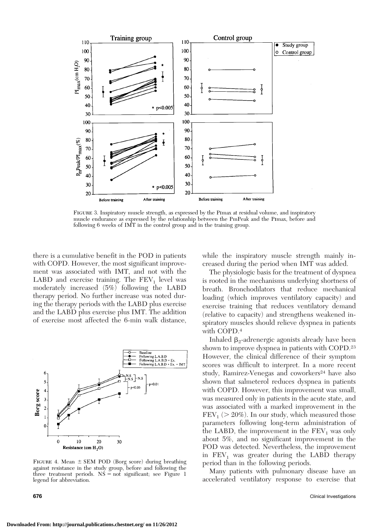

Figure 3. Inspiratory muscle strength, as expressed by the Pimax at residual volume, and inspiratory muscle endurance as expressed by the relationship between the PmPeak and the Pimax, before and following 6 weeks of IMT in the control group and in the training group.

there is a cumulative benefit in the POD in patients with COPD. However, the most significant improvement was associated with IMT, and not with the LABD and exercise training. The  $FEV<sub>1</sub>$  level was moderately increased (5%) following the LABD therapy period. No further increase was noted during the therapy periods with the LABD plus exercise and the LABD plus exercise plus IMT. The addition of exercise most affected the 6-min walk distance,



FIGURE 4. Mean  $\pm$  SEM POD (Borg score) during breathing against resistance in the study group, before and following the three treatment periods.  $N\dot{S} = \text{not significant}$ ; see Figure 1 legend for abbreviation.

while the inspiratory muscle strength mainly increased during the period when IMT was added.

The physiologic basis for the treatment of dyspnea is rooted in the mechanisms underlying shortness of breath. Bronchodilators that reduce mechanical loading (which improves ventilatory capacity) and exercise training that reduces ventilatory demand (relative to capacity) and strengthens weakened inspiratory muscles should relieve dyspnea in patients with COPD.4

Inhaled  $\beta_2$ -adrenergic agonists already have been shown to improve dyspnea in patients with COPD.23 However, the clinical difference of their symptom scores was difficult to interpret. In a more recent study, Ramirez-Venegas and coworkers<sup>24</sup> have also shown that salmeterol reduces dyspnea in patients with COPD. However, this improvement was small, was measured only in patients in the acute state, and was associated with a marked improvement in the  $FEV<sub>1</sub> (> 20%)$ . In our study, which measured those parameters following long-term administration of the LABD, the improvement in the  $FEV<sub>1</sub>$  was only about 5%, and no significant improvement in the POD was detected. Nevertheless, the improvement in  $FEV<sub>1</sub>$  was greater during the LABD therapy period than in the following periods.

Many patients with pulmonary disease have an accelerated ventilatory response to exercise that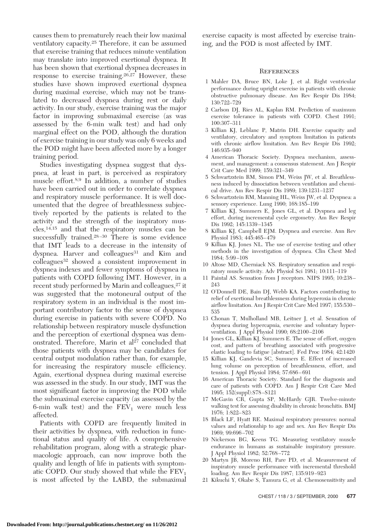causes them to prematurely reach their low maximal ventilatory capacity.25 Therefore, it can be assumed that exercise training that reduces minute ventilation may translate into improved exertional dyspnea. It has been shown that exertional dyspnea decreases in response to exercise training.26,27 However, these studies have shown improved exertional dyspnea during maximal exercise, which may not be translated to decreased dyspnea during rest or daily activity. In our study, exercise training was the major factor in improving submaximal exercise (as was assessed by the 6-min walk test) and had only marginal effect on the POD, although the duration of exercise training in our study was only 6 weeks and the POD might have been affected more by a longer training period.

Studies investigating dyspnea suggest that dyspnea, at least in part, is perceived as respiratory muscle effort.8,9 In addition, a number of studies have been carried out in order to correlate dyspnea and respiratory muscle performance. It is well documented that the degree of breathlessness subjectively reported by the patients is related to the activity and the strength of the inspiratory muscles,14,15 and that the respiratory muscles can be successfully trained.<sup>28-30</sup> There is some evidence that IMT leads to a decrease in the intensity of dyspnea. Harver and colleagues<sup>31</sup> and Kim and colleagues32 showed a consistent improvement in dyspnea indexes and fewer symptoms of dyspnea in patients with COPD following IMT. However, in a recent study performed by Marin and colleagues,<sup>27</sup> it was suggested that the motoneural output of the respiratory system in an individual is the most important contributory factor to the sense of dyspnea during exercise in patients with severe COPD. No relationship between respiratory muscle dysfunction and the perception of exertional dyspnea was demonstrated. Therefore, Marin et  $al<sup>27</sup>$  concluded that those patients with dyspnea may be candidates for central output modulation rather than, for example, for increasing the respiratory muscle efficiency. Again, exertional dyspnea during maximal exercise was assessed in the study. In our study, IMT was the most significant factor in improving the POD while the submaximal exercise capacity (as assessed by the 6-min walk test) and the  $FEV_1$  were much less affected.

Patients with COPD are frequently limited in their activities by dyspnea, with reduction in functional status and quality of life. A comprehensive rehabilitation program, along with a strategic pharmacologic approach, can now improve both the quality and length of life in patients with symptomatic COPD. Our study showed that while the  $FEV<sub>1</sub>$ is most affected by the LABD, the submaximal exercise capacity is most affected by exercise training, and the POD is most affected by IMT.

### **REFERENCES**

- 1 Mahler DA, Bruce BN, Loke J, et al. Right ventricular performance during upright exercise in patients with chronic obstructive pulmonary disease. Am Rev Respir Dis 1984; 130:722–729
- 2 Carlson DJ, Ries AL, Kaplan RM. Prediction of maximum exercise tolerance in patients with COPD. Chest 1991; 100:307–311
- 3 Killian KJ, Leblanc P, Matrin DH. Exercise capacity and ventilatory, circulatory and symptom limitation in patients with chronic airflow limitation. Am Rev Respir Dis 1992; 146:935–940
- 4 American Thoracic Society. Dyspnea mechanism, assessment, and management: a consensus statement. Am J Respir Crit Care Med 1999; 159:321–349
- 5 Schwartzstein RM, Simon PM, Weiss JW, et al. Breathlessness induced by dissociation between ventilation and chemical drive. Am Rev Respir Dis 1989; 139:1231–1237
- 6 Schwartzstein RM, Manning HL, Weiss JW, et al. Dyspnea: a sensory experience. Lung 1990; 168:185–199
- 7 Killian KJ, Summers E, Jones GL, et al. Dyspnea and leg effort, during incremental cycle ergometry. Am Rev Respir Dis 1992; 145:1339–1345
- 8 Killian KJ, Campbell EJM. Dyspnea and exercise. Ann Rev Physiol 1983; 445:465–479
- 9 Killian KJ, Jones NL. The use of exercise testing and other methods in the investigation of dyspnea. Clin Chest Med 1984; 5:99–108
- 10 Altose MD, Cherniack NS. Respiratory sensation and respiratory muscle activity. Adv Physiol Sci 1981; 10:111–119
- 11 Paintal AS. Sensation from J receptors. NIPS 1995; 10:238– 243
- 12 O'Donnell DE, Bain DJ, Webb KA. Factors contributing to relief of exertional breathlessness during hyperoxia in chronic airflow limitation. Am J Respir Crit Care Med 1997; 155:530– 535
- 13 Chonan T, Mulholland MB, Leitner J, et al. Sensation of dyspnea during hypercapnia, exercise and voluntary hyperventilation. J Appl Physiol 1990; 68:2100–2106
- 14 Jones GL, Killian KJ, Summers E. The sense of effort, oxygen cost, and pattern of breathing associated with progressive elastic loading to fatigue [abstract]. Fed Proc 1984; 42:1420
- 15 Killian KJ, Gandevia SC, Summers E. Effect of increased lung volume on perception of breathlessness, effort, and tension. J Appl Physiol 1984; 57:686–691
- 16 American Thoracic Society. Standard for the diagnosis and care of patients with COPD. Am J Respir Crit Care Med 1995; 152(suppl):S78–S121
- 17 McGavin CR, Gupta SP, McHardy GJR. Twelve-minute walking test for assessing disability in chronic bronchitis. BMJ 1976; 1:822–823
- 18 Black LF, Hyatt RE. Maximal respiratory pressures: normal values and relationship to age and sex. Am Rev Respir Dis 1969; 99:696–702
- 19 Nickerson BG, Keens TG. Measuring ventilatory muscle endurance in humans as sustainable inspiratory pressure. J Appl Physiol 1982; 52:768–772
- 20 Martyn JB, Moreno RH, Pare PD, et al. Measurement of inspiratory muscle performance with incremental threshold loading. Am Rev Respir Dis 1987; 135:919–923
- 21 Kikuchi Y, Okabe S, Tamura G, et al. Chemosensitivity and